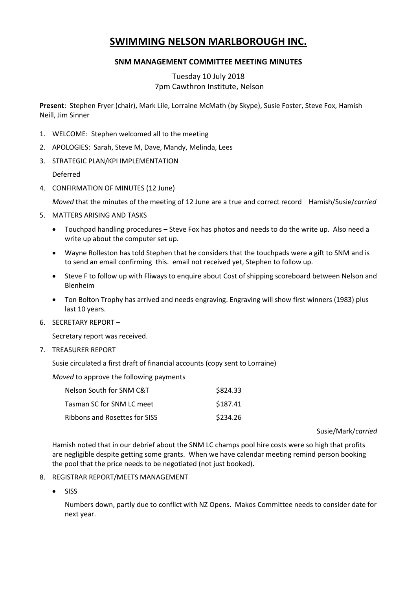# **SWIMMING NELSON MARLBOROUGH INC.**

## **SNM MANAGEMENT COMMITTEE MEETING MINUTES**

# Tuesday 10 July 2018 7pm Cawthron Institute, Nelson

**Present**: Stephen Fryer (chair), Mark Lile, Lorraine McMath (by Skype), Susie Foster, Steve Fox, Hamish Neill, Jim Sinner

- 1. WELCOME: Stephen welcomed all to the meeting
- 2. APOLOGIES: Sarah, Steve M, Dave, Mandy, Melinda, Lees
- 3. STRATEGIC PLAN/KPI IMPLEMENTATION

Deferred

4. CONFIRMATION OF MINUTES (12 June)

*Moved* that the minutes of the meeting of 12 June are a true and correct record Hamish/Susie/*carried*

- 5. MATTERS ARISING AND TASKS
	- Touchpad handling procedures Steve Fox has photos and needs to do the write up. Also need a write up about the computer set up.
	- Wayne Rolleston has told Stephen that he considers that the touchpads were a gift to SNM and is to send an email confirming this. email not received yet, Stephen to follow up.
	- Steve F to follow up with Fliways to enquire about Cost of shipping scoreboard between Nelson and Blenheim
	- Ton Bolton Trophy has arrived and needs engraving. Engraving will show first winners (1983) plus last 10 years.
- 6. SECRETARY REPORT –

Secretary report was received.

7. TREASURER REPORT

Susie circulated a first draft of financial accounts (copy sent to Lorraine)

*Moved* to approve the following payments

| Nelson South for SNM C&T             | \$824.33 |
|--------------------------------------|----------|
| Tasman SC for SNM LC meet            | \$187.41 |
| <b>Ribbons and Rosettes for SISS</b> | \$234.26 |

Susie/Mark/*carried*

Hamish noted that in our debrief about the SNM LC champs pool hire costs were so high that profits are negligible despite getting some grants. When we have calendar meeting remind person booking the pool that the price needs to be negotiated (not just booked).

#### 8. REGISTRAR REPORT/MEETS MANAGEMENT

 $\bullet$  SISS

Numbers down, partly due to conflict with NZ Opens. Makos Committee needs to consider date for next year.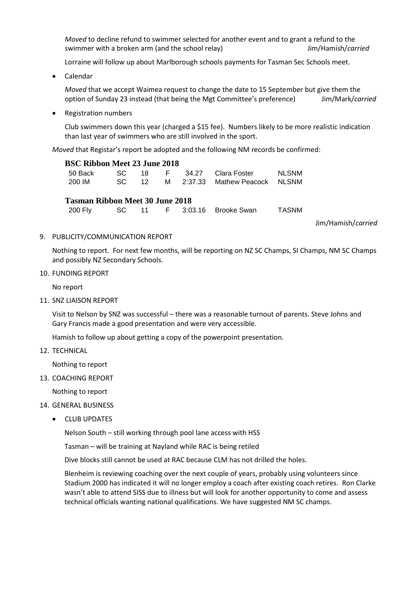*Moved* to decline refund to swimmer selected for another event and to grant a refund to the swimmer with a broken arm (and the school relay) **Jim/Hamish/***carried* 

Lorraine will follow up about Marlborough schools payments for Tasman Sec Schools meet.

Calendar

*Moved* that we accept Waimea request to change the date to 15 September but give them the option of Sunday 23 instead (that being the Mgt Committee's preference) Jim/Mark/*carried*

Registration numbers

Club swimmers down this year (charged a \$15 fee). Numbers likely to be more realistic indication than last year of swimmers who are still involved in the sport.

*Moved* that Registar's report be adopted and the following NM records be confirmed:

#### **BSC Ribbon Meet 23 June 2018**

| 50 Back |           |  | SC 18 F 34.27 Clara Foster     | <b>NLSNM</b> |
|---------|-----------|--|--------------------------------|--------------|
| 200 IM  | $SC = 12$ |  | M 2:37.33 Mathew Peacock NLSNM |              |

### **Tasman Ribbon Meet 30 June 2018**

|  | 200 Fly | SC - |  |  |  | F 3:03.16 Brooke Swan | <b>TASNM</b> |
|--|---------|------|--|--|--|-----------------------|--------------|
|--|---------|------|--|--|--|-----------------------|--------------|

Jim/Hamish/*carried*

#### 9. PUBLICITY/COMMUNICATION REPORT

Nothing to report. For next few months, will be reporting on NZ SC Champs, SI Champs, NM SC Champs and possibly NZ Secondary Schools.

10. FUNDING REPORT

No report

11. SNZ LIAISON REPORT

Visit to Nelson by SNZ was successful – there was a reasonable turnout of parents. Steve Johns and Gary Francis made a good presentation and were very accessible.

Hamish to follow up about getting a copy of the powerpoint presentation.

12. TECHNICAL

Nothing to report

13. COACHING REPORT

Nothing to report

- 14. GENERAL BUSINESS
	- CLUB UPDATES

Nelson South – still working through pool lane access with HSS

Tasman – will be training at Nayland while RAC is being retiled

Dive blocks still cannot be used at RAC because CLM has not drilled the holes.

Blenheim is reviewing coaching over the next couple of years, probably using volunteers since Stadium 2000 has indicated it will no longer employ a coach after existing coach retires. Ron Clarke wasn't able to attend SISS due to illness but will look for another opportunity to come and assess technical officials wanting national qualifications. We have suggested NM SC champs.